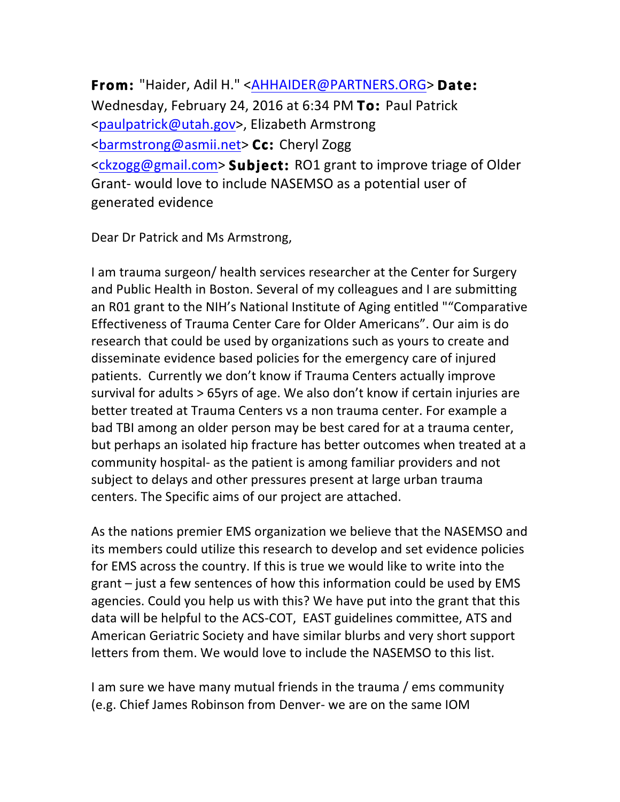**From:** "Haider, Adil H." [<AHHAIDER@PARTNERS.ORG](mailto:AHHAIDER@PARTNERS.ORG)> **Date:**  Wednesday, February 24, 2016 at 6:34 PM To: Paul Patrick [<paulpatrick@utah.gov](mailto:paulpatrick@utah.gov)>, Elizabeth Armstrong [<barmstrong@asmii.net](mailto:barmstrong@asmii.net)> **Cc:** Cheryl Zogg [<ckzogg@gmail.com](mailto:ckzogg@gmail.com)> **Subject:** RO1 grant to improve triage of Older Grant- would love to include NASEMSO as a potential user of generated evidence

Dear Dr Patrick and Ms Armstrong,

I am trauma surgeon/ health services researcher at the Center for Surgery and Public Health in Boston. Several of my colleagues and I are submitting an R01 grant to the NIH's National Institute of Aging entitled ""Comparative Effectiveness of Trauma Center Care for Older Americans". Our aim is do research that could be used by organizations such as yours to create and disseminate evidence based policies for the emergency care of injured patients. Currently we don't know if Trauma Centers actually improve survival for adults > 65yrs of age. We also don't know if certain injuries are better treated at Trauma Centers vs a non trauma center. For example a bad TBI among an older person may be best cared for at a trauma center, but perhaps an isolated hip fracture has better outcomes when treated at a community hospital- as the patient is among familiar providers and not subject to delays and other pressures present at large urban trauma centers. The Specific aims of our project are attached.

As the nations premier EMS organization we believe that the NASEMSO and its members could utilize this research to develop and set evidence policies for EMS across the country. If this is true we would like to write into the grant  $-$  just a few sentences of how this information could be used by EMS agencies. Could you help us with this? We have put into the grant that this data will be helpful to the ACS-COT, EAST guidelines committee, ATS and American Geriatric Society and have similar blurbs and very short support letters from them. We would love to include the NASEMSO to this list.

I am sure we have many mutual friends in the trauma / ems community (e.g. Chief James Robinson from Denver- we are on the same IOM